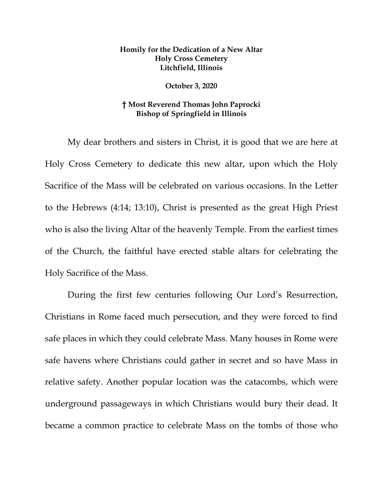## **Homily for the Dedication of a New Altar Holy Cross Cemetery Litchfield, Illinois**

## **October 3, 2020**

## **† Most Reverend Thomas John Paprocki Bishop of Springfield in Illinois**

My dear brothers and sisters in Christ, it is good that we are here at Holy Cross Cemetery to dedicate this new altar, upon which the Holy Sacrifice of the Mass will be celebrated on various occasions. In the Letter to the Hebrews (4:14; 13:10), Christ is presented as the great High Priest who is also the living Altar of the heavenly Temple. From the earliest times of the Church, the faithful have erected stable altars for celebrating the Holy Sacrifice of the Mass.

During the first few centuries following Our Lord's Resurrection, Christians in Rome faced much persecution, and they were forced to find safe places in which they could celebrate Mass. Many houses in Rome were safe havens where Christians could gather in secret and so have Mass in relative safety. Another popular location was the catacombs, which were underground passageways in which Christians would bury their dead. It became a common practice to celebrate Mass on the tombs of those who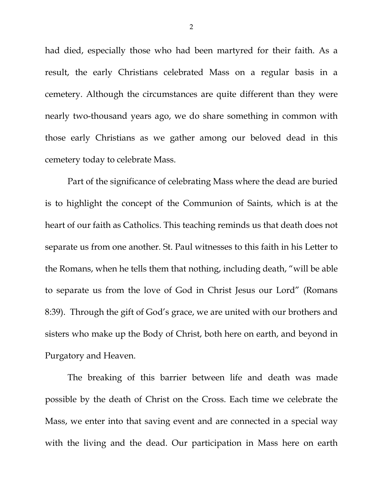had died, especially those who had been martyred for their faith. As a result, the early Christians celebrated Mass on a regular basis in a cemetery. Although the circumstances are quite different than they were nearly two-thousand years ago, we do share something in common with those early Christians as we gather among our beloved dead in this cemetery today to celebrate Mass.

Part of the significance of celebrating Mass where the dead are buried is to highlight the concept of the Communion of Saints, which is at the heart of our faith as Catholics. This teaching reminds us that death does not separate us from one another. St. Paul witnesses to this faith in his Letter to the Romans, when he tells them that nothing, including death, "will be able to separate us from the love of God in Christ Jesus our Lord" (Romans 8:39). Through the gift of God's grace, we are united with our brothers and sisters who make up the Body of Christ, both here on earth, and beyond in Purgatory and Heaven.

The breaking of this barrier between life and death was made possible by the death of Christ on the Cross. Each time we celebrate the Mass, we enter into that saving event and are connected in a special way with the living and the dead. Our participation in Mass here on earth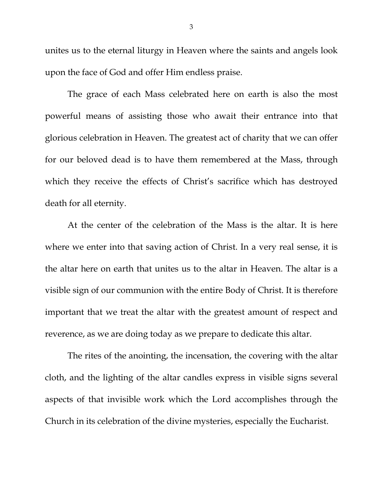unites us to the eternal liturgy in Heaven where the saints and angels look upon the face of God and offer Him endless praise.

The grace of each Mass celebrated here on earth is also the most powerful means of assisting those who await their entrance into that glorious celebration in Heaven. The greatest act of charity that we can offer for our beloved dead is to have them remembered at the Mass, through which they receive the effects of Christ's sacrifice which has destroyed death for all eternity.

At the center of the celebration of the Mass is the altar. It is here where we enter into that saving action of Christ. In a very real sense, it is the altar here on earth that unites us to the altar in Heaven. The altar is a visible sign of our communion with the entire Body of Christ. It is therefore important that we treat the altar with the greatest amount of respect and reverence, as we are doing today as we prepare to dedicate this altar.

The rites of the anointing, the incensation, the covering with the altar cloth, and the lighting of the altar candles express in visible signs several aspects of that invisible work which the Lord accomplishes through the Church in its celebration of the divine mysteries, especially the Eucharist.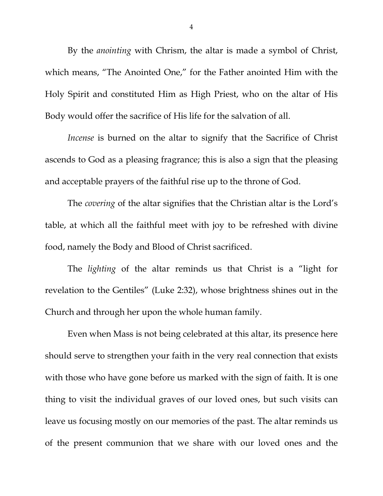By the *anointing* with Chrism, the altar is made a symbol of Christ, which means, "The Anointed One," for the Father anointed Him with the Holy Spirit and constituted Him as High Priest, who on the altar of His Body would offer the sacrifice of His life for the salvation of all.

*Incense* is burned on the altar to signify that the Sacrifice of Christ ascends to God as a pleasing fragrance; this is also a sign that the pleasing and acceptable prayers of the faithful rise up to the throne of God.

The *covering* of the altar signifies that the Christian altar is the Lord's table, at which all the faithful meet with joy to be refreshed with divine food, namely the Body and Blood of Christ sacrificed.

The *lighting* of the altar reminds us that Christ is a "light for revelation to the Gentiles" (Luke 2:32), whose brightness shines out in the Church and through her upon the whole human family.

Even when Mass is not being celebrated at this altar, its presence here should serve to strengthen your faith in the very real connection that exists with those who have gone before us marked with the sign of faith. It is one thing to visit the individual graves of our loved ones, but such visits can leave us focusing mostly on our memories of the past. The altar reminds us of the present communion that we share with our loved ones and the

4